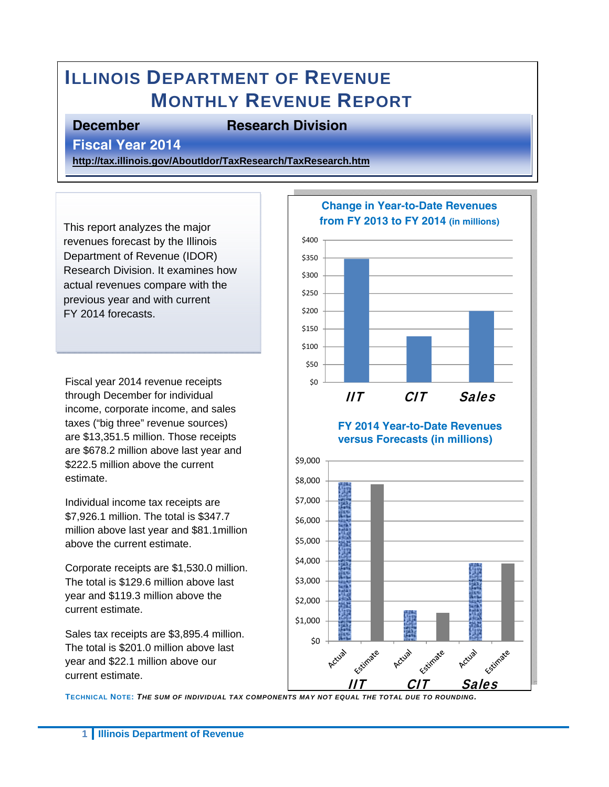# **ILLINOIS DEPARTMENT OF REVENUE MONTHLY REVENUE REPORT**

#### **December Research Division**

**Fiscal Year 2014** 

**http://tax.illinois.gov/AboutIdor/TaxResearch/TaxResearch.htm**

This report analyzes the major revenues forecast by the Illinois Department of Revenue (IDOR) Research Division. It examines how actual revenues compare with the previous year and with current FY 2014 forecasts.

Fiscal year 2014 revenue receipts through December for individual income, corporate income, and sales taxes ("big three" revenue sources) are \$13,351.5 million. Those receipts are \$678.2 million above last year and \$222.5 million above the current estimate.

Individual income tax receipts are \$7,926.1 million. The total is \$347.7 million above last year and \$81.1million above the current estimate.

Corporate receipts are \$1,530.0 million. The total is \$129.6 million above last year and \$119.3 million above the current estimate.

Sales tax receipts are \$3,895.4 million. The total is \$201.0 million above last year and \$22.1 million above our current estimate.



**FY 2014 Year-to-Date Revenues versus Forecasts (in millions)** 



**TECHNICAL NOTE:** *THE SUM OF INDIVIDUAL TAX COMPONENTS MAY NOT EQUAL THE TOTAL DUE TO ROUNDING.*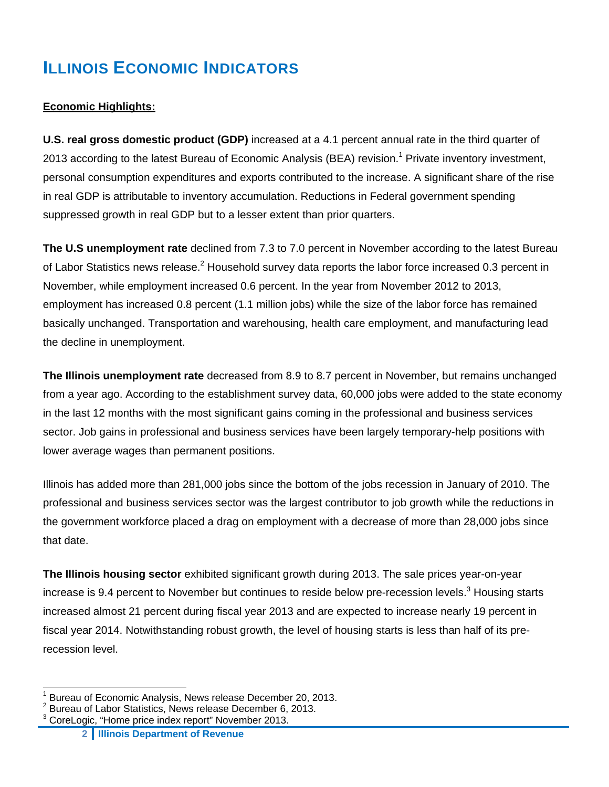## **ILLINOIS ECONOMIC INDICATORS**

#### **Economic Highlights:**

**U.S. real gross domestic product (GDP)** increased at a 4.1 percent annual rate in the third quarter of 2013 according to the latest Bureau of Economic Analysis (BEA) revision.<sup>1</sup> Private inventory investment, personal consumption expenditures and exports contributed to the increase. A significant share of the rise in real GDP is attributable to inventory accumulation. Reductions in Federal government spending suppressed growth in real GDP but to a lesser extent than prior quarters.

**The U.S unemployment rate** declined from 7.3 to 7.0 percent in November according to the latest Bureau of Labor Statistics news release.<sup>2</sup> Household survey data reports the labor force increased 0.3 percent in November, while employment increased 0.6 percent. In the year from November 2012 to 2013, employment has increased 0.8 percent (1.1 million jobs) while the size of the labor force has remained basically unchanged. Transportation and warehousing, health care employment, and manufacturing lead the decline in unemployment.

**The Illinois unemployment rate** decreased from 8.9 to 8.7 percent in November, but remains unchanged from a year ago. According to the establishment survey data, 60,000 jobs were added to the state economy in the last 12 months with the most significant gains coming in the professional and business services sector. Job gains in professional and business services have been largely temporary-help positions with lower average wages than permanent positions.

Illinois has added more than 281,000 jobs since the bottom of the jobs recession in January of 2010. The professional and business services sector was the largest contributor to job growth while the reductions in the government workforce placed a drag on employment with a decrease of more than 28,000 jobs since that date.

**The Illinois housing sector** exhibited significant growth during 2013. The sale prices year-on-year increase is 9.4 percent to November but continues to reside below pre-recession levels.<sup>3</sup> Housing starts increased almost 21 percent during fiscal year 2013 and are expected to increase nearly 19 percent in fiscal year 2014. Notwithstanding robust growth, the level of housing starts is less than half of its prerecession level.

 $\overline{a}$ 

<sup>1</sup> Bureau of Economic Analysis, News release December 20, 2013.

<sup>2</sup> Bureau of Labor Statistics, News release December 6, 2013.

 $3$  CoreLogic, "Home price index report" November 2013.

**<sup>2</sup> Illinois Department of Revenue**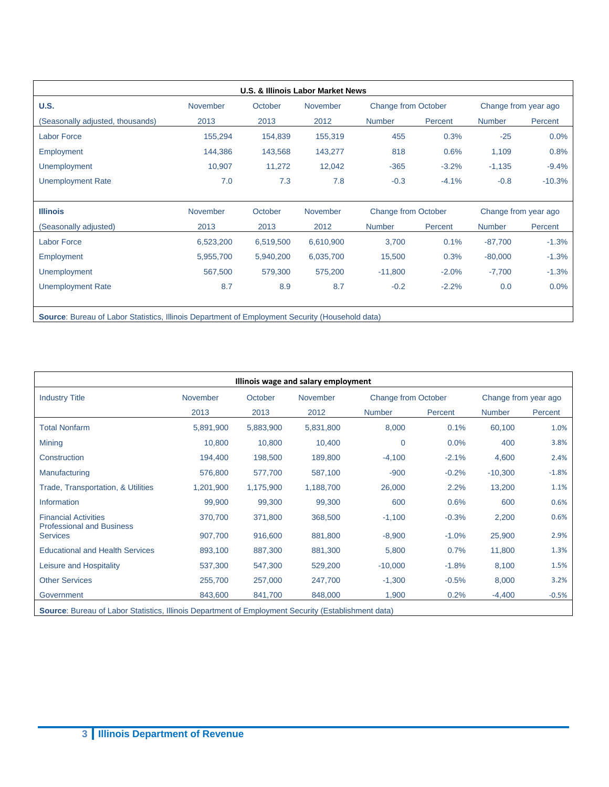| <b>U.S.</b>                      | November  | October   | November  | <b>Change from October</b> |         | Change from year ago |          |
|----------------------------------|-----------|-----------|-----------|----------------------------|---------|----------------------|----------|
| (Seasonally adjusted, thousands) | 2013      | 2013      | 2012      | <b>Number</b>              | Percent | <b>Number</b>        | Percent  |
| <b>Labor Force</b>               | 155,294   | 154,839   | 155,319   | 455                        | 0.3%    | $-25$                | 0.0%     |
| Employment                       | 144,386   | 143,568   | 143,277   | 818                        | 0.6%    | 1,109                | 0.8%     |
| <b>Unemployment</b>              | 10,907    | 11,272    | 12,042    | $-365$                     | $-3.2%$ | $-1,135$             | $-9.4%$  |
| <b>Unemployment Rate</b>         | 7.0       | 7.3       | 7.8       | $-0.3$                     | $-4.1%$ | $-0.8$               | $-10.3%$ |
| <b>Illinois</b>                  | November  | October   | November  | <b>Change from October</b> |         | Change from year ago |          |
| (Seasonally adjusted)            | 2013      | 2013      | 2012      | <b>Number</b>              | Percent | <b>Number</b>        | Percent  |
| <b>Labor Force</b>               | 6,523,200 | 6,519,500 | 6,610,900 | 3,700                      | 0.1%    | $-87,700$            | $-1.3%$  |
| <b>Employment</b>                | 5,955,700 | 5,940,200 | 6,035,700 | 15,500                     | 0.3%    | $-80,000$            | $-1.3%$  |
| <b>Unemployment</b>              | 567,500   | 579,300   | 575,200   | $-11,800$                  | $-2.0%$ | $-7,700$             | $-1.3%$  |
| <b>Unemployment Rate</b>         | 8.7       | 8.9       | 8.7       | $-0.2$                     | $-2.2%$ | 0.0                  | 0.0%     |

| Illinois wage and salary employment                                                                 |                 |           |           |               |                                                    |               |         |  |
|-----------------------------------------------------------------------------------------------------|-----------------|-----------|-----------|---------------|----------------------------------------------------|---------------|---------|--|
| <b>Industry Title</b>                                                                               | <b>November</b> | October   | November  |               | <b>Change from October</b><br>Change from year ago |               |         |  |
|                                                                                                     | 2013            | 2013      | 2012      | <b>Number</b> | Percent                                            | <b>Number</b> | Percent |  |
| <b>Total Nonfarm</b>                                                                                | 5,891,900       | 5,883,900 | 5,831,800 | 8,000         | 0.1%                                               | 60,100        | 1.0%    |  |
| <b>Mining</b>                                                                                       | 10,800          | 10,800    | 10,400    | $\mathbf 0$   | 0.0%                                               | 400           | 3.8%    |  |
| Construction                                                                                        | 194,400         | 198,500   | 189,800   | $-4,100$      | $-2.1%$                                            | 4,600         | 2.4%    |  |
| Manufacturing                                                                                       | 576,800         | 577,700   | 587,100   | $-900$        | $-0.2%$                                            | $-10,300$     | $-1.8%$ |  |
| Trade, Transportation, & Utilities                                                                  | 1,201,900       | 1,175,900 | 1,188,700 | 26,000        | 2.2%                                               | 13,200        | 1.1%    |  |
| Information                                                                                         | 99,900          | 99,300    | 99,300    | 600           | 0.6%                                               | 600           | 0.6%    |  |
| <b>Financial Activities</b><br><b>Professional and Business</b>                                     | 370,700         | 371,800   | 368,500   | $-1,100$      | $-0.3%$                                            | 2,200         | 0.6%    |  |
| <b>Services</b>                                                                                     | 907,700         | 916,600   | 881,800   | $-8,900$      | $-1.0%$                                            | 25,900        | 2.9%    |  |
| <b>Educational and Health Services</b>                                                              | 893,100         | 887,300   | 881,300   | 5,800         | 0.7%                                               | 11,800        | 1.3%    |  |
| Leisure and Hospitality                                                                             | 537,300         | 547,300   | 529,200   | $-10,000$     | $-1.8%$                                            | 8,100         | 1.5%    |  |
| <b>Other Services</b>                                                                               | 255,700         | 257,000   | 247,700   | $-1,300$      | $-0.5%$                                            | 8,000         | 3.2%    |  |
| Government                                                                                          | 843,600         | 841,700   | 848,000   | 1,900         | 0.2%                                               | $-4,400$      | $-0.5%$ |  |
| Source: Bureau of Labor Statistics, Illinois Department of Employment Security (Establishment data) |                 |           |           |               |                                                    |               |         |  |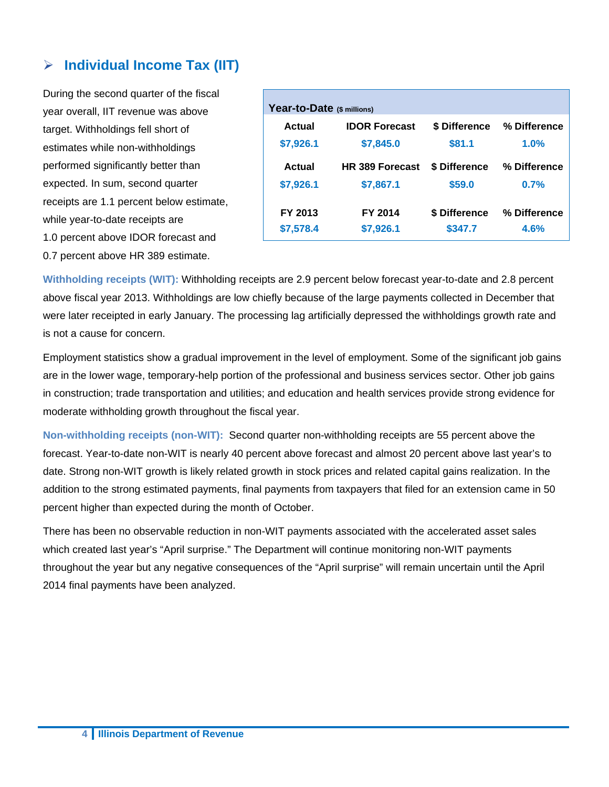#### **Individual Income Tax (IIT)**

During the second quarter of the fiscal year overall, IIT revenue was above target. Withholdings fell short of estimates while non-withholdings performed significantly better than expected. In sum, second quarter receipts are 1.1 percent below estimate, while year-to-date receipts are 1.0 percent above IDOR forecast and 0.7 percent above HR 389 estimate.

| Year-to-Date (\$ millions) |                        |               |              |  |  |  |  |  |
|----------------------------|------------------------|---------------|--------------|--|--|--|--|--|
| Actual                     | <b>IDOR Forecast</b>   | \$ Difference | % Difference |  |  |  |  |  |
| \$7,926.1                  | \$7,845.0              | \$81.1        | 1.0%         |  |  |  |  |  |
| Actual                     | <b>HR 389 Forecast</b> | \$ Difference | % Difference |  |  |  |  |  |
| \$7,926.1                  | \$7,867.1              | \$59.0        | 0.7%         |  |  |  |  |  |
| FY 2013                    | FY 2014                | \$ Difference | % Difference |  |  |  |  |  |
| \$7,578.4                  | \$7,926.1              | \$347.7       | 4.6%         |  |  |  |  |  |

**Withholding receipts (WIT):** Withholding receipts are 2.9 percent below forecast year-to-date and 2.8 percent above fiscal year 2013. Withholdings are low chiefly because of the large payments collected in December that were later receipted in early January. The processing lag artificially depressed the withholdings growth rate and is not a cause for concern.

Employment statistics show a gradual improvement in the level of employment. Some of the significant job gains are in the lower wage, temporary-help portion of the professional and business services sector. Other job gains in construction; trade transportation and utilities; and education and health services provide strong evidence for moderate withholding growth throughout the fiscal year.

**Non-withholding receipts (non-WIT):** Second quarter non-withholding receipts are 55 percent above the forecast. Year-to-date non-WIT is nearly 40 percent above forecast and almost 20 percent above last year's to date. Strong non-WIT growth is likely related growth in stock prices and related capital gains realization. In the addition to the strong estimated payments, final payments from taxpayers that filed for an extension came in 50 percent higher than expected during the month of October.

There has been no observable reduction in non-WIT payments associated with the accelerated asset sales which created last year's "April surprise." The Department will continue monitoring non-WIT payments throughout the year but any negative consequences of the "April surprise" will remain uncertain until the April 2014 final payments have been analyzed.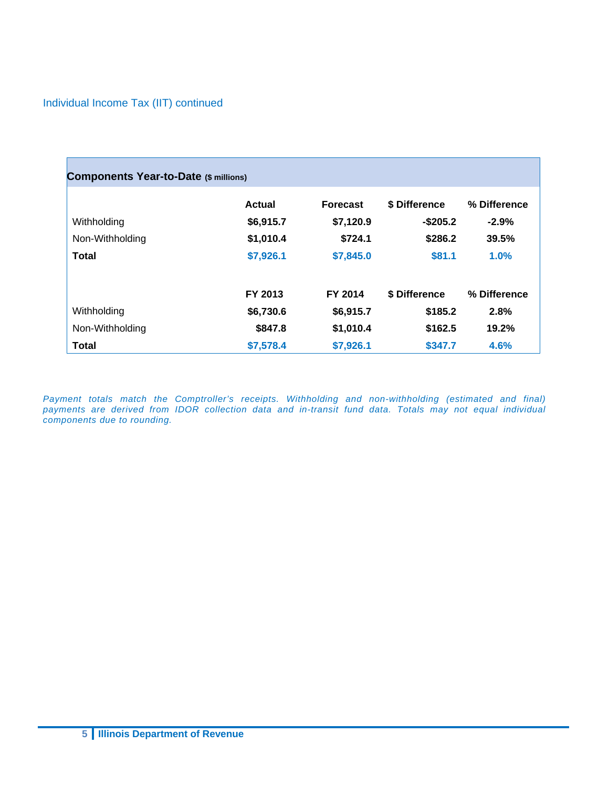#### Individual Income Tax (IIT) continued

| <b>Components Year-to-Date (\$ millions)</b> |               |                 |               |              |  |  |  |
|----------------------------------------------|---------------|-----------------|---------------|--------------|--|--|--|
|                                              | <b>Actual</b> | <b>Forecast</b> | \$ Difference | % Difference |  |  |  |
| Withholding                                  | \$6,915.7     | \$7,120.9       | $-$ \$205.2   | $-2.9%$      |  |  |  |
| Non-Withholding                              | \$1,010.4     | \$724.1         | \$286.2       | 39.5%        |  |  |  |
| Total                                        | \$7,926.1     | \$7,845.0       | \$81.1        | 1.0%         |  |  |  |
|                                              | FY 2013       | FY 2014         | \$ Difference | % Difference |  |  |  |
| Withholding                                  | \$6,730.6     | \$6,915.7       | \$185.2       | 2.8%         |  |  |  |
| Non-Withholding                              | \$847.8       | \$1,010.4       | \$162.5       | 19.2%        |  |  |  |
| <b>Total</b>                                 | \$7,578.4     | \$7,926.1       | \$347.7       | 4.6%         |  |  |  |

Payment totals match the Comptroller's receipts. Withholding and non-withholding (estimated and final) *payments are derived from IDOR collection data and in-transit fund data. Totals may not equal individual components due to rounding.*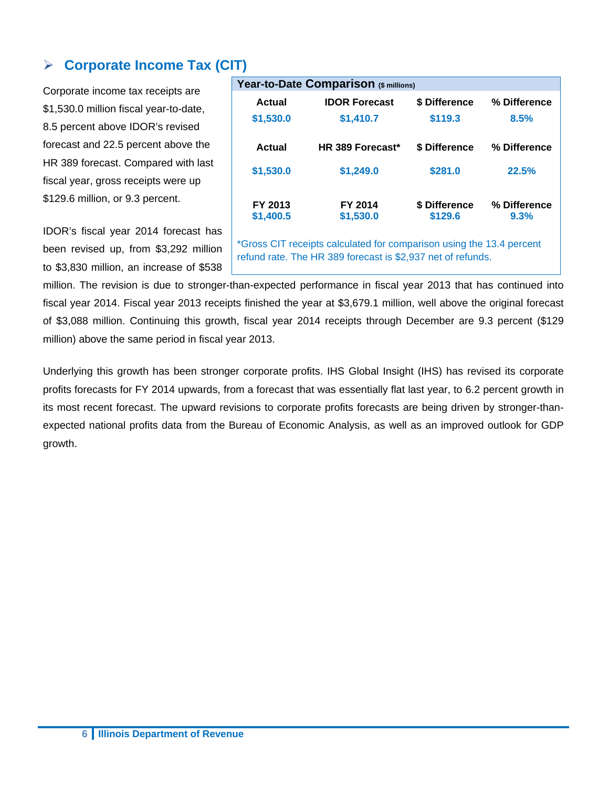### **Corporate Income Tax (CIT)**

Corporate income tax receipts are \$1,530.0 million fiscal year-to-date, 8.5 percent above IDOR's revised forecast and 22.5 percent above the HR 389 forecast. Compared with last fiscal year, gross receipts were up \$129.6 million, or 9.3 percent.

IDOR's fiscal year 2014 forecast has been revised up, from \$3,292 million to \$3,830 million, an increase of \$538

| Year-to-Date Comparison (\$ millions)                                                                                               |                      |                          |                      |  |  |  |  |  |  |
|-------------------------------------------------------------------------------------------------------------------------------------|----------------------|--------------------------|----------------------|--|--|--|--|--|--|
| Actual                                                                                                                              | <b>IDOR Forecast</b> | \$ Difference            | % Difference         |  |  |  |  |  |  |
| \$1,530.0                                                                                                                           | \$1,410.7            | \$119.3                  | 8.5%                 |  |  |  |  |  |  |
| Actual                                                                                                                              | HR 389 Forecast*     | \$ Difference            | % Difference         |  |  |  |  |  |  |
| \$1,530.0                                                                                                                           | \$1,249.0            | \$281.0                  | 22.5%                |  |  |  |  |  |  |
| FY 2013<br>\$1,400.5                                                                                                                | FY 2014<br>\$1,530.0 | \$ Difference<br>\$129.6 | % Difference<br>9.3% |  |  |  |  |  |  |
| *Gross CIT receipts calculated for comparison using the 13.4 percent<br>refund rate. The HR 389 forecast is \$2,937 net of refunds. |                      |                          |                      |  |  |  |  |  |  |

million. The revision is due to stronger-than-expected performance in fiscal year 2013 that has continued into fiscal year 2014. Fiscal year 2013 receipts finished the year at \$3,679.1 million, well above the original forecast of \$3,088 million. Continuing this growth, fiscal year 2014 receipts through December are 9.3 percent (\$129 million) above the same period in fiscal year 2013.

Underlying this growth has been stronger corporate profits. IHS Global Insight (IHS) has revised its corporate profits forecasts for FY 2014 upwards, from a forecast that was essentially flat last year, to 6.2 percent growth in its most recent forecast. The upward revisions to corporate profits forecasts are being driven by stronger-thanexpected national profits data from the Bureau of Economic Analysis, as well as an improved outlook for GDP growth.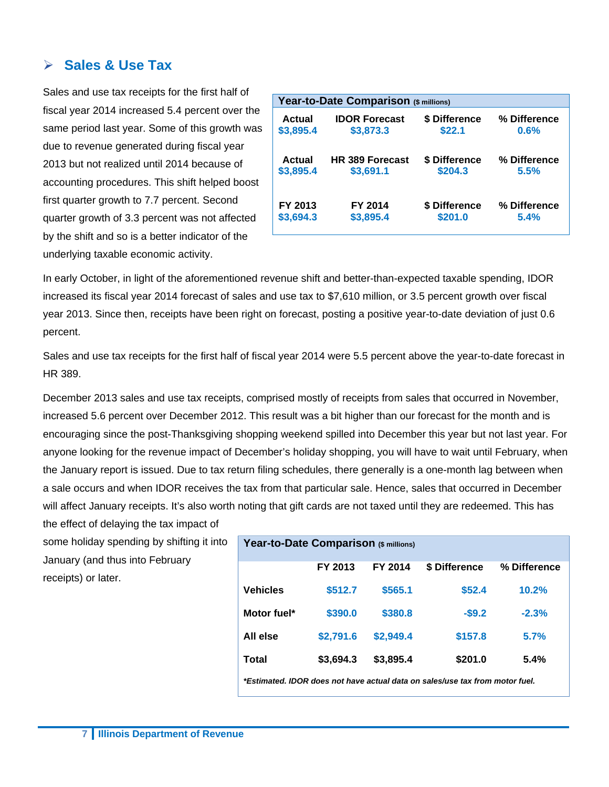#### **Sales & Use Tax**

Sales and use tax receipts for the first half of fiscal year 2014 increased 5.4 percent over the same period last year. Some of this growth was due to revenue generated during fiscal year 2013 but not realized until 2014 because of accounting procedures. This shift helped boost first quarter growth to 7.7 percent. Second quarter growth of 3.3 percent was not affected by the shift and so is a better indicator of the underlying taxable economic activity.

|           | Year-to-Date Comparison (\$ millions) |               |              |  |  |  |  |
|-----------|---------------------------------------|---------------|--------------|--|--|--|--|
| Actual    | <b>IDOR Forecast</b>                  | \$ Difference | % Difference |  |  |  |  |
| \$3,895.4 | \$3,873.3                             | \$22.1        | 0.6%         |  |  |  |  |
| Actual    | <b>HR 389 Forecast</b>                | \$ Difference | % Difference |  |  |  |  |
| \$3,895.4 | \$3,691.1                             | \$204.3       | 5.5%         |  |  |  |  |
| FY 2013   | FY 2014                               | \$ Difference | % Difference |  |  |  |  |
| \$3,694.3 | \$3,895.4                             | \$201.0       | 5.4%         |  |  |  |  |

In early October, in light of the aforementioned revenue shift and better-than-expected taxable spending, IDOR increased its fiscal year 2014 forecast of sales and use tax to \$7,610 million, or 3.5 percent growth over fiscal year 2013. Since then, receipts have been right on forecast, posting a positive year-to-date deviation of just 0.6 percent.

Sales and use tax receipts for the first half of fiscal year 2014 were 5.5 percent above the year-to-date forecast in HR 389.

December 2013 sales and use tax receipts, comprised mostly of receipts from sales that occurred in November, increased 5.6 percent over December 2012. This result was a bit higher than our forecast for the month and is encouraging since the post-Thanksgiving shopping weekend spilled into December this year but not last year. For anyone looking for the revenue impact of December's holiday shopping, you will have to wait until February, when the January report is issued. Due to tax return filing schedules, there generally is a one-month lag between when a sale occurs and when IDOR receives the tax from that particular sale. Hence, sales that occurred in December will affect January receipts. It's also worth noting that gift cards are not taxed until they are redeemed. This has the effect of delaying the tax impact of

some holiday spending by shifting it into January (and thus into February receipts) or later.

| Year-to-Date Comparison (\$ millions)                                        |           |           |               |              |  |  |  |
|------------------------------------------------------------------------------|-----------|-----------|---------------|--------------|--|--|--|
|                                                                              | FY 2013   | FY 2014   | \$ Difference | % Difference |  |  |  |
| <b>Vehicles</b>                                                              | \$512.7   | \$565.1   | \$52.4        | 10.2%        |  |  |  |
| Motor fuel*                                                                  | \$390.0   | \$380.8   | $-$9.2$       | $-2.3%$      |  |  |  |
| All else                                                                     | \$2,791.6 | \$2,949.4 | \$157.8       | 5.7%         |  |  |  |
| Total                                                                        | \$3,694.3 | \$3,895.4 | \$201.0       | 5.4%         |  |  |  |
| *Estimated. IDOR does not have actual data on sales/use tax from motor fuel. |           |           |               |              |  |  |  |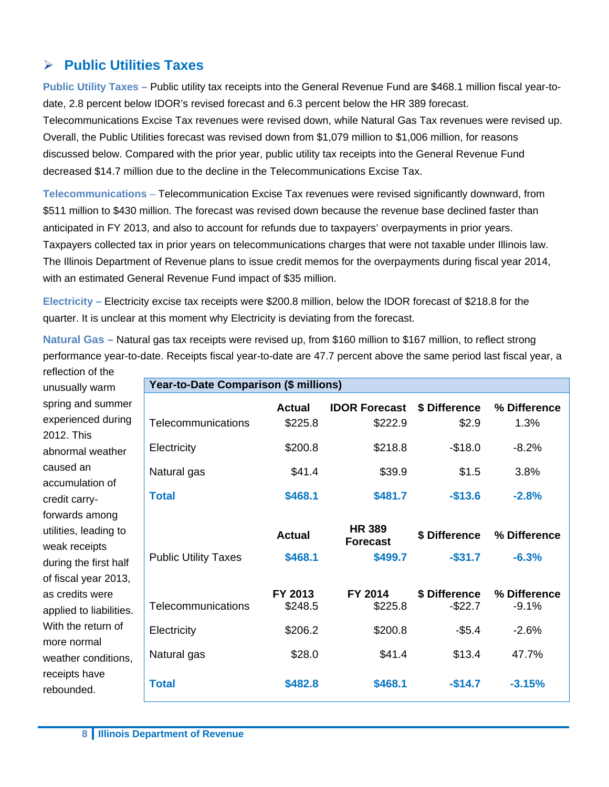#### **Public Utilities Taxes**

**Public Utility Taxes –** Public utility tax receipts into the General Revenue Fund are \$468.1 million fiscal year-todate, 2.8 percent below IDOR's revised forecast and 6.3 percent below the HR 389 forecast. Telecommunications Excise Tax revenues were revised down, while Natural Gas Tax revenues were revised up. Overall, the Public Utilities forecast was revised down from \$1,079 million to \$1,006 million, for reasons discussed below. Compared with the prior year, public utility tax receipts into the General Revenue Fund decreased \$14.7 million due to the decline in the Telecommunications Excise Tax.

**Telecommunications** – Telecommunication Excise Tax revenues were revised significantly downward, from \$511 million to \$430 million. The forecast was revised down because the revenue base declined faster than anticipated in FY 2013, and also to account for refunds due to taxpayers' overpayments in prior years. Taxpayers collected tax in prior years on telecommunications charges that were not taxable under Illinois law. The Illinois Department of Revenue plans to issue credit memos for the overpayments during fiscal year 2014, with an estimated General Revenue Fund impact of \$35 million.

**Electricity –** Electricity excise tax receipts were \$200.8 million, below the IDOR forecast of \$218.8 for the quarter. It is unclear at this moment why Electricity is deviating from the forecast.

**Year-to-Date Comparison (\$ millions)** 

**Natural Gas –** Natural gas tax receipts were revised up, from \$160 million to \$167 million, to reflect strong performance year-to-date. Receipts fiscal year-to-date are 47.7 percent above the same period last fiscal year, a

reflection of the unusually warm spring and summer experienced during 2012. This abnormal weather caused an accumulation of credit carryforwards among utilities, leading to weak receipts during the first half of fiscal year 2013, as credits were applied to liabilities. With the return of more normal weather conditions, receipts have rebounded.

| rear-to-Date Companison (\$ millions) |                          |                                  |                             |                         |
|---------------------------------------|--------------------------|----------------------------------|-----------------------------|-------------------------|
| Telecommunications                    | <b>Actual</b><br>\$225.8 | <b>IDOR Forecast</b><br>\$222.9  | \$ Difference<br>\$2.9      | % Difference<br>1.3%    |
| Electricity                           | \$200.8                  | \$218.8                          | $-$18.0$                    | $-8.2%$                 |
| Natural gas                           | \$41.4                   | \$39.9                           | \$1.5                       | 3.8%                    |
| <b>Total</b>                          | \$468.1                  | \$481.7                          | $-$13.6$                    | $-2.8%$                 |
|                                       | <b>Actual</b>            | <b>HR 389</b><br><b>Forecast</b> | \$ Difference               | % Difference            |
| <b>Public Utility Taxes</b>           | \$468.1                  | \$499.7                          | $-$ \$31.7                  | $-6.3%$                 |
| Telecommunications                    | FY 2013<br>\$248.5       | FY 2014<br>\$225.8               | \$ Difference<br>$-$ \$22.7 | % Difference<br>$-9.1%$ |
| Electricity                           | \$206.2                  | \$200.8                          | $-$ \$5.4                   | $-2.6%$                 |
| Natural gas                           | \$28.0                   | \$41.4                           | \$13.4                      | 47.7%                   |
|                                       |                          |                                  |                             |                         |
| <b>Total</b>                          | \$482.8                  | \$468.1                          | $-$14.7$                    | $-3.15%$                |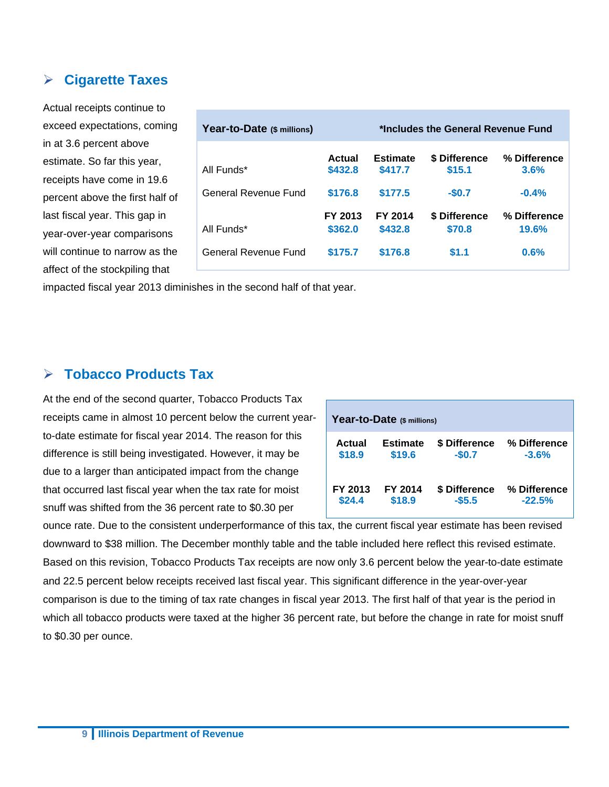#### **Cigarette Taxes**

Actual receipts continue to exceed expectations, coming in at 3.6 percent above estimate. So far this year, receipts have come in 19.6 percent above the first half of last fiscal year. This gap in year-over-year comparisons will continue to narrow as the affect of the stockpiling that

| Year-to-Date (\$ millions) | *Includes the General Revenue Fund |                            |                         |                       |  |  |
|----------------------------|------------------------------------|----------------------------|-------------------------|-----------------------|--|--|
| All Funds*                 | Actual<br>\$432.8                  | <b>Estimate</b><br>\$417.7 | \$ Difference<br>\$15.1 | % Difference<br>3.6%  |  |  |
| General Revenue Fund       | \$176.8                            | \$177.5                    | $-$0.7$                 | $-0.4%$               |  |  |
| All Funds*                 | FY 2013<br>\$362.0                 | FY 2014<br>\$432.8         | \$ Difference<br>\$70.8 | % Difference<br>19.6% |  |  |
| General Revenue Fund       | \$175.7                            | \$176.8                    | \$1.1                   | 0.6%                  |  |  |

impacted fiscal year 2013 diminishes in the second half of that year.

#### **Tobacco Products Tax**

At the end of the second quarter, Tobacco Products Tax receipts came in almost 10 percent below the current yearto-date estimate for fiscal year 2014. The reason for this difference is still being investigated. However, it may be due to a larger than anticipated impact from the change that occurred last fiscal year when the tax rate for moist snuff was shifted from the 36 percent rate to \$0.30 per

| Year-to-Date (\$ millions) |                 |               |              |  |  |  |  |  |
|----------------------------|-----------------|---------------|--------------|--|--|--|--|--|
| Actual                     | <b>Estimate</b> | \$ Difference | % Difference |  |  |  |  |  |
| \$18.9                     | \$19.6          | $-$0.7$       | $-3.6%$      |  |  |  |  |  |
| FY 2013                    | FY 2014         | \$ Difference | % Difference |  |  |  |  |  |
| \$24.4                     | \$18.9          | $-55.5$       | $-22.5%$     |  |  |  |  |  |

ounce rate. Due to the consistent underperformance of this tax, the current fiscal year estimate has been revised downward to \$38 million. The December monthly table and the table included here reflect this revised estimate. Based on this revision, Tobacco Products Tax receipts are now only 3.6 percent below the year-to-date estimate and 22.5 percent below receipts received last fiscal year. This significant difference in the year-over-year comparison is due to the timing of tax rate changes in fiscal year 2013. The first half of that year is the period in which all tobacco products were taxed at the higher 36 percent rate, but before the change in rate for moist snuff to \$0.30 per ounce.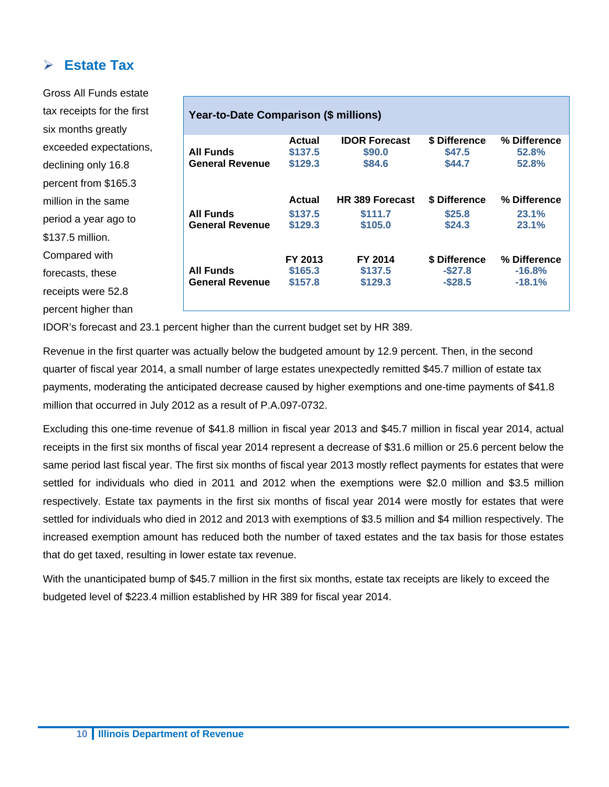#### **Estate Tax**

Gross All Funds estate tax receipts for the first six months greatly exceeded expectations, declining only 16.8 percent from \$165.3 million in the same period a year ago to \$137.5 million. Compared with forecasts, these receipts were 52.8 percent higher than

#### **Year-to-Date Comparison (\$ millions) All Funds General Revenue Actual \$137.5 \$129.3 IDOR Forecast \$90.0 \$84.6 \$ Difference \$47.5 \$44.7 % Difference 52.8% 52.8% Actual HR 389 Forecast \$ Difference % Difference All Funds General Revenue \$137.5 \$129.3 \$111.7 \$105.0 \$25.8 \$24.3 23.1% 23.1% FY 2013 FY 2014 \$ Difference % Difference All Funds General Revenue \$165.3 \$157.8 \$137.5 \$129.3 -\$27.8 -\$28.5 -16.8% -18.1%**

IDOR's forecast and 23.1 percent higher than the current budget set by HR 389.

Revenue in the first quarter was actually below the budgeted amount by 12.9 percent. Then, in the second quarter of fiscal year 2014, a small number of large estates unexpectedly remitted \$45.7 million of estate tax payments, moderating the anticipated decrease caused by higher exemptions and one-time payments of \$41.8 million that occurred in July 2012 as a result of P.A.097-0732.

Excluding this one-time revenue of \$41.8 million in fiscal year 2013 and \$45.7 million in fiscal year 2014, actual receipts in the first six months of fiscal year 2014 represent a decrease of \$31.6 million or 25.6 percent below the same period last fiscal year. The first six months of fiscal year 2013 mostly reflect payments for estates that were settled for individuals who died in 2011 and 2012 when the exemptions were \$2.0 million and \$3.5 million respectively. Estate tax payments in the first six months of fiscal year 2014 were mostly for estates that were settled for individuals who died in 2012 and 2013 with exemptions of \$3.5 million and \$4 million respectively. The increased exemption amount has reduced both the number of taxed estates and the tax basis for those estates that do get taxed, resulting in lower estate tax revenue.

With the unanticipated bump of \$45.7 million in the first six months, estate tax receipts are likely to exceed the budgeted level of \$223.4 million established by HR 389 for fiscal year 2014.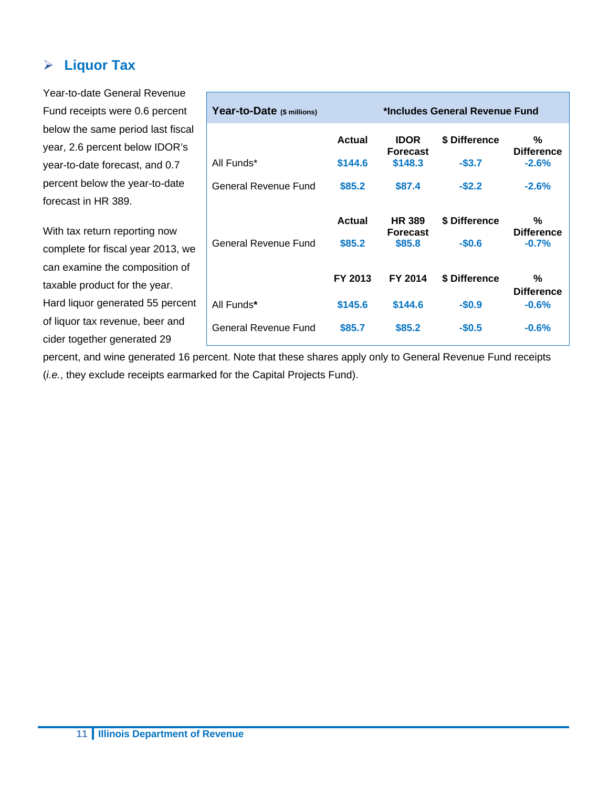#### **Liquor Tax**

Year-to-date General Revenue Fund receipts were 0.6 percent below the same period last fiscal year, 2.6 percent below IDOR's year-to-date forecast, and 0.7 percent below the year-to-date forecast in HR 389. With tax return reporting now complete for fiscal year 2013, we can examine the composition of taxable product for the year. Hard liquor generated 55 percent of liquor tax revenue, beer and cider together generated 29 **Year-to-Date (\$ millions) \*Includes General Revenue Fund Actual IDOR Forecast \$ Difference % Difference**  All Funds\* **\$144.6 \$148.3 -\$3.7 -2.6%**  General Revenue Fund \$85.2 \$87.4 - \$2.2 - 2.6% **Actual HR 389 Forecast \$ Difference % Difference**  General Revenue Fund **\$85.2 \$85.8 -\$0.6 -0.7%**  **FY 2013 FY 2014 \$ Difference % Difference**  All Funds**\* \$145.6 \$144.6 -\$0.9 -0.6%**  General Revenue Fund \$85.7 \$85.2 -\$0.5 -0.6%

percent, and wine generated 16 percent. Note that these shares apply only to General Revenue Fund receipts (*i.e.*, they exclude receipts earmarked for the Capital Projects Fund).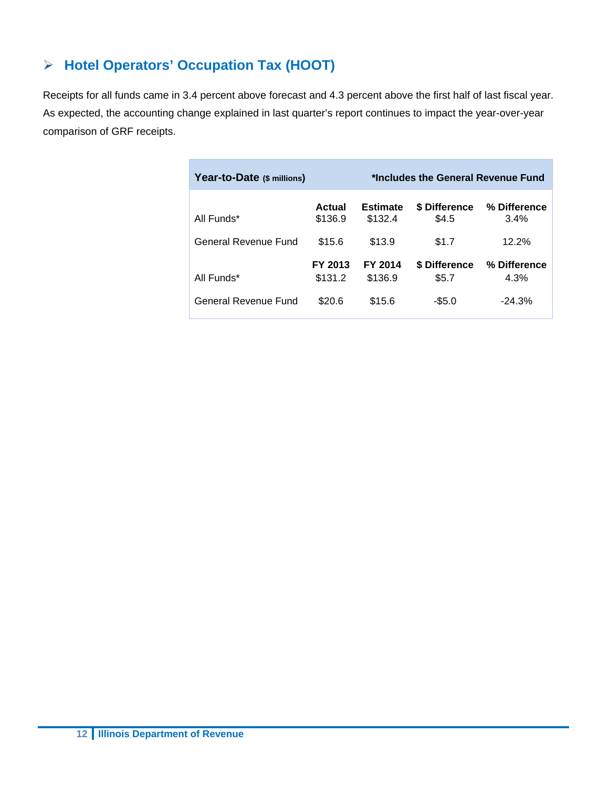## **Hotel Operators' Occupation Tax (HOOT)**

Receipts for all funds came in 3.4 percent above forecast and 4.3 percent above the first half of last fiscal year. As expected, the accounting change explained in last quarter's report continues to impact the year-over-year comparison of GRF receipts.

| Year-to-Date (\$ millions) |                    |                            | *Includes the General Revenue Fund |                      |
|----------------------------|--------------------|----------------------------|------------------------------------|----------------------|
| All Funds*                 | Actual<br>\$136.9  | <b>Estimate</b><br>\$132.4 | \$ Difference<br>\$4.5             | % Difference<br>3.4% |
| General Revenue Fund       | \$15.6             | \$13.9                     | \$1.7                              | 12.2%                |
| All Funds*                 | FY 2013<br>\$131.2 | FY 2014<br>\$136.9         | \$ Difference<br>\$5.7             | % Difference<br>4.3% |
| General Revenue Fund       | \$20.6             | \$15.6                     | $-$ \$5.0                          | $-24.3%$             |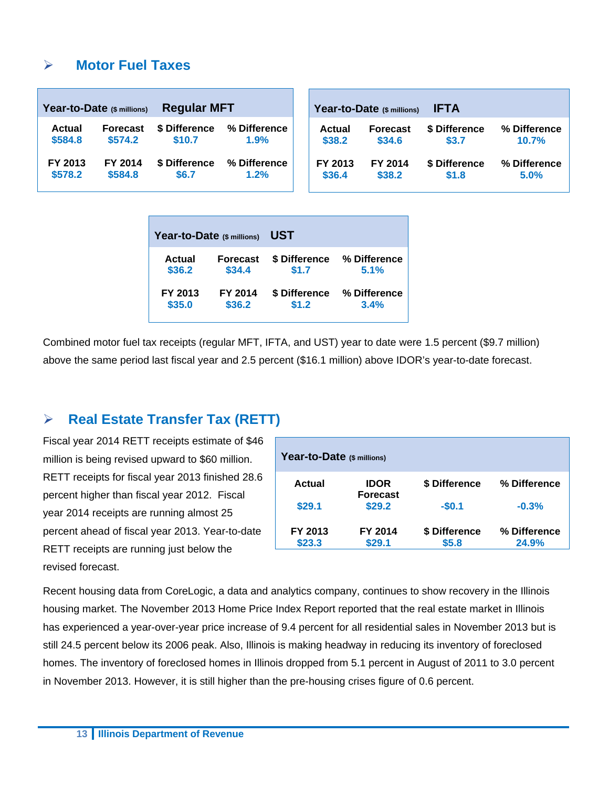#### **Motor Fuel Taxes**

| <b>Regular MFT</b><br>Year-to-Date (\$ millions) |                 |               | Year-to-Date (\$ millions) | <b>IFTA</b> |                 |               |              |
|--------------------------------------------------|-----------------|---------------|----------------------------|-------------|-----------------|---------------|--------------|
| Actual                                           | <b>Forecast</b> | \$ Difference | % Difference               | Actual      | <b>Forecast</b> | \$ Difference | % Difference |
| \$584.8                                          | \$574.2         | \$10.7        | 1.9%                       | \$38.2      | \$34.6          | \$3.7         | 10.7%        |
| FY 2013                                          | FY 2014         | \$ Difference | % Difference               | FY 2013     | FY 2014         | \$ Difference | % Difference |
| \$578.2                                          | \$584.8         | \$6.7         | 1.2%                       | \$36.4      | \$38.2          | \$1.8         | 5.0%         |

| Year-to-Date (\$ millions) |                 | UST           |              |  |  |  |
|----------------------------|-----------------|---------------|--------------|--|--|--|
| Actual                     | <b>Forecast</b> | \$ Difference | % Difference |  |  |  |
| \$36.2                     | \$34.4          | \$1.7         | 5.1%         |  |  |  |
| FY 2013                    | FY 2014         | \$ Difference | % Difference |  |  |  |
| \$35.0                     | \$36.2          | \$1.2         | 3.4%         |  |  |  |

Combined motor fuel tax receipts (regular MFT, IFTA, and UST) year to date were 1.5 percent (\$9.7 million) above the same period last fiscal year and 2.5 percent (\$16.1 million) above IDOR's year-to-date forecast.

#### **Real Estate Transfer Tax (RETT)**

Fiscal year 2014 RETT receipts estimate of \$46 million is being revised upward to \$60 million. RETT receipts for fiscal year 2013 finished 28.6 percent higher than fiscal year 2012. Fiscal year 2014 receipts are running almost 25 percent ahead of fiscal year 2013. Year-to-date RETT receipts are running just below the revised forecast.

| Year-to-Date (\$ millions) |                                |               |              |  |  |  |  |  |  |  |
|----------------------------|--------------------------------|---------------|--------------|--|--|--|--|--|--|--|
| Actual                     | <b>IDOR</b><br><b>Forecast</b> | \$ Difference | % Difference |  |  |  |  |  |  |  |
| \$29.1                     | \$29.2                         | $-$0.1$       | $-0.3%$      |  |  |  |  |  |  |  |
| FY 2013                    | FY 2014                        | \$ Difference | % Difference |  |  |  |  |  |  |  |
| \$23.3                     | \$29.1                         | \$5.8         | 24.9%        |  |  |  |  |  |  |  |

Recent housing data from CoreLogic, a data and analytics company, continues to show recovery in the Illinois housing market. The November 2013 Home Price Index Report reported that the real estate market in Illinois has experienced a year-over-year price increase of 9.4 percent for all residential sales in November 2013 but is still 24.5 percent below its 2006 peak. Also, Illinois is making headway in reducing its inventory of foreclosed homes. The inventory of foreclosed homes in Illinois dropped from 5.1 percent in August of 2011 to 3.0 percent in November 2013. However, it is still higher than the pre-housing crises figure of 0.6 percent.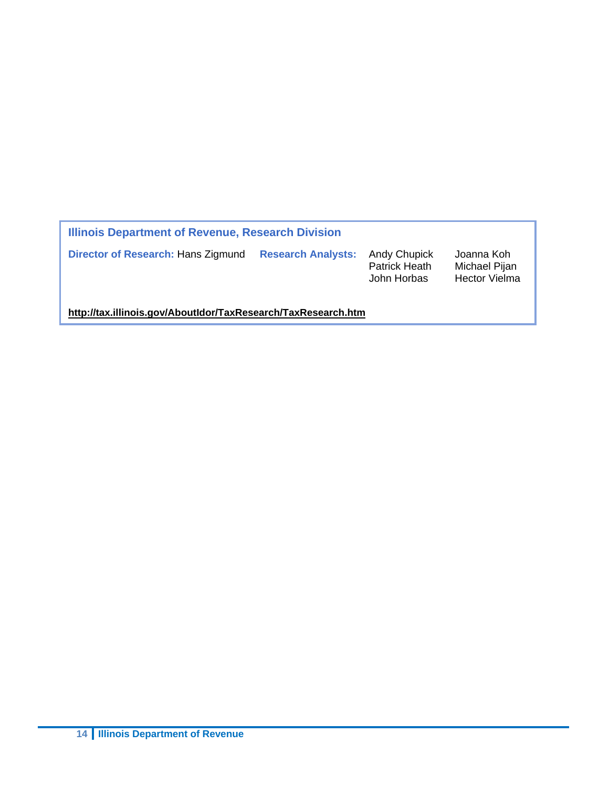| Illinois Department of Revenue, Research Division             |                           |                                                     |                                                     |  |  |  |  |
|---------------------------------------------------------------|---------------------------|-----------------------------------------------------|-----------------------------------------------------|--|--|--|--|
| Director of Research: Hans Zigmund                            | <b>Research Analysts:</b> | <b>Andy Chupick</b><br>Patrick Heath<br>John Horbas | Joanna Koh<br>Michael Pijan<br><b>Hector Vielma</b> |  |  |  |  |
| http://tax.illinois.gov/AboutIdor/TaxResearch/TaxResearch.htm |                           |                                                     |                                                     |  |  |  |  |

**14 Illinois Department of Revenue**